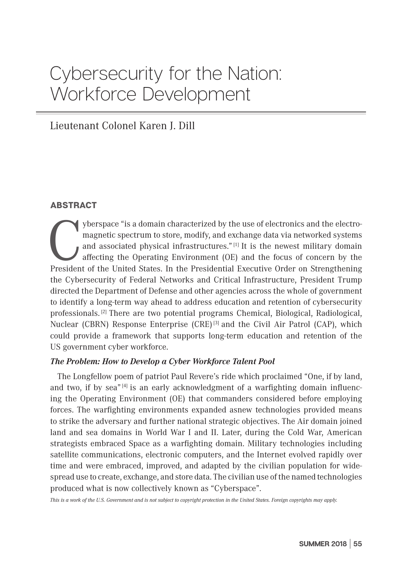# Cybersecurity for the Nation: Workforce Development

# Lieutenant Colonel Karen J. Dill

### ABSTRACT

The agent of the United States. In the Presidential Executive Order on Strengthening<br>President of the United States. In the Presidential Executive Order on Strengthening<br>President of the United States. In the Presidential magnetic spectrum to store, modify, and exchange data via networked systems and associated physical infrastructures." [1] It is the newest military domain affecting the Operating Environment (OE) and the focus of concern by the President of the United States. In the Presidential Executive Order on Strengthening the Cybersecurity of Federal Networks and Critical Infrastructure, President Trump directed the Department of Defense and other agencies across the whole of government to identify a long-term way ahead to address education and retention of cybersecurity professionals.<sup>[2]</sup> There are two potential programs Chemical, Biological, Radiological, Nuclear (CBRN) Response Enterprise (CRE) [3] and the Civil Air Patrol (CAP), which could provide a framework that supports long-term education and retention of the US government cyber workforce.

#### *The Problem: How to Develop a Cyber Workforce Talent Pool*

The Longfellow poem of patriot Paul Revere's ride which proclaimed "One, if by land, and two, if by sea<sup>*r*[4]</sup> is an early acknowledgment of a warfighting domain influencing the Operating Environment (OE) that commanders considered before employing forces. The warfighting environments expanded asnew technologies provided means to strike the adversary and further national strategic objectives. The Air domain joined land and sea domains in World War I and II. Later, during the Cold War, American strategists embraced Space as a warfighting domain. Military technologies including satellite communications, electronic computers, and the Internet evolved rapidly over time and were embraced, improved, and adapted by the civilian population for widespread use to create, exchange, and store data. The civilian use of the named technologies produced what is now collectively known as "Cyberspace".

*This is a work of the U.S. Government and is not subject to copyright protection in the United States. Foreign copyrights may apply.*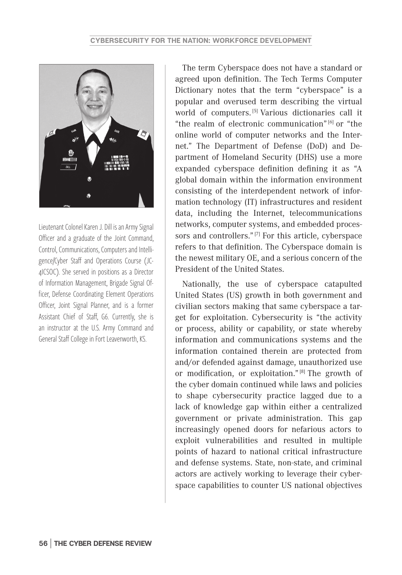

Lieutenant Colonel Karen J. Dill is an Army Signal Officer and a graduate of the Joint Command, Control, Communications, Computers and Intelligence/Cyber Staff and Operations Course (JC-4ICSOC). She served in positions as a Director of Information Management, Brigade Signal Officer, Defense Coordinating Element Operations Officer, Joint Signal Planner, and is a former Assistant Chief of Staff, G6. Currently, she is an instructor at the U.S. Army Command and General Staff College in Fort Leavenworth, KS.

The term Cyberspace does not have a standard or agreed upon definition. The Tech Terms Computer Dictionary notes that the term "cyberspace" is a popular and overused term describing the virtual world of computers. [5] Various dictionaries call it "the realm of electronic communication" [6] or "the online world of computer networks and the Internet." The Department of Defense (DoD) and Department of Homeland Security (DHS) use a more expanded cyberspace definition defining it as "A global domain within the information environment consisting of the interdependent network of information technology (IT) infrastructures and resident data, including the Internet, telecommunications networks, computer systems, and embedded processors and controllers." [7] For this article, cyberspace refers to that definition. The Cyberspace domain is the newest military OE, and a serious concern of the President of the United States.

Nationally, the use of cyberspace catapulted United States (US) growth in both government and civilian sectors making that same cyberspace a target for exploitation. Cybersecurity is "the activity or process, ability or capability, or state whereby information and communications systems and the information contained therein are protected from and/or defended against damage, unauthorized use or modification, or exploitation." [8] The growth of the cyber domain continued while laws and policies to shape cybersecurity practice lagged due to a lack of knowledge gap within either a centralized government or private administration. This gap increasingly opened doors for nefarious actors to exploit vulnerabilities and resulted in multiple points of hazard to national critical infrastructure and defense systems. State, non-state, and criminal actors are actively working to leverage their cyberspace capabilities to counter US national objectives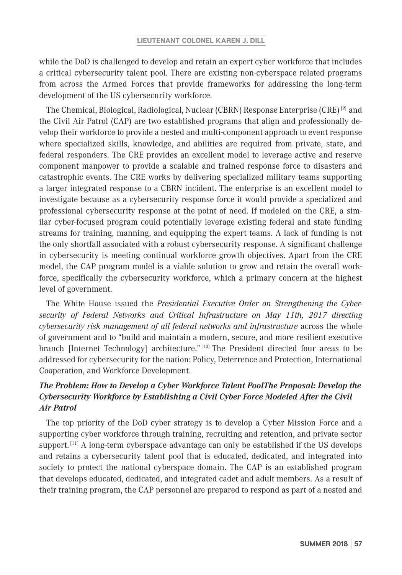while the DoD is challenged to develop and retain an expert cyber workforce that includes a critical cybersecurity talent pool. There are existing non-cyberspace related programs from across the Armed Forces that provide frameworks for addressing the long-term development of the US cybersecurity workforce.

The Chemical, Biological, Radiological, Nuclear (CBRN) Response Enterprise (CRE) [9] and the Civil Air Patrol (CAP) are two established programs that align and professionally develop their workforce to provide a nested and multi-component approach to event response where specialized skills, knowledge, and abilities are required from private, state, and federal responders. The CRE provides an excellent model to leverage active and reserve component manpower to provide a scalable and trained response force to disasters and catastrophic events. The CRE works by delivering specialized military teams supporting a larger integrated response to a CBRN incident. The enterprise is an excellent model to investigate because as a cybersecurity response force it would provide a specialized and professional cybersecurity response at the point of need. If modeled on the CRE, a similar cyber-focused program could potentially leverage existing federal and state funding streams for training, manning, and equipping the expert teams. A lack of funding is not the only shortfall associated with a robust cybersecurity response. A significant challenge in cybersecurity is meeting continual workforce growth objectives. Apart from the CRE model, the CAP program model is a viable solution to grow and retain the overall workforce, specifically the cybersecurity workforce, which a primary concern at the highest level of government.

The White House issued the *Presidential Executive Order on Strengthening the Cybersecurity of Federal Networks and Critical Infrastructure on May 11th, 2017 directing cybersecurity risk management of all federal networks and infrastructure* across the whole of government and to "build and maintain a modern, secure, and more resilient executive branch [Internet Technology] architecture." [10] The President directed four areas to be addressed for cybersecurity for the nation: Policy, Deterrence and Protection, International Cooperation, and Workforce Development.

# *The Problem: How to Develop a Cyber Workforce Talent PoolThe Proposal: Develop the Cybersecurity Workforce by Establishing a Civil Cyber Force Modeled After the Civil Air Patrol*

The top priority of the DoD cyber strategy is to develop a Cyber Mission Force and a supporting cyber workforce through training, recruiting and retention, and private sector support.<sup>[11]</sup> A long-term cyberspace advantage can only be established if the US develops and retains a cybersecurity talent pool that is educated, dedicated, and integrated into society to protect the national cyberspace domain. The CAP is an established program that develops educated, dedicated, and integrated cadet and adult members. As a result of their training program, the CAP personnel are prepared to respond as part of a nested and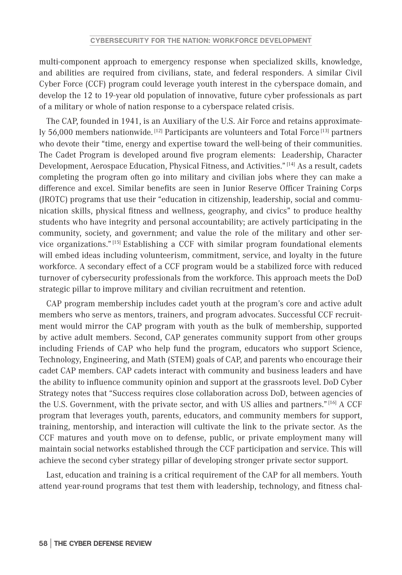multi-component approach to emergency response when specialized skills, knowledge, and abilities are required from civilians, state, and federal responders. A similar Civil Cyber Force (CCF) program could leverage youth interest in the cyberspace domain, and develop the 12 to 19-year old population of innovative, future cyber professionals as part of a military or whole of nation response to a cyberspace related crisis.

The CAP, founded in 1941, is an Auxiliary of the U.S. Air Force and retains approximately 56,000 members nationwide.<sup>[12]</sup> Participants are volunteers and Total Force<sup>[13]</sup> partners who devote their "time, energy and expertise toward the well-being of their communities. The Cadet Program is developed around five program elements: Leadership, Character Development, Aerospace Education, Physical Fitness, and Activities." [14] As a result, cadets completing the program often go into military and civilian jobs where they can make a difference and excel. Similar benefits are seen in Junior Reserve Officer Training Corps (JROTC) programs that use their "education in citizenship, leadership, social and communication skills, physical fitness and wellness, geography, and civics" to produce healthy students who have integrity and personal accountability; are actively participating in the community, society, and government; and value the role of the military and other service organizations." [15] Establishing a CCF with similar program foundational elements will embed ideas including volunteerism, commitment, service, and loyalty in the future workforce. A secondary effect of a CCF program would be a stabilized force with reduced turnover of cybersecurity professionals from the workforce. This approach meets the DoD strategic pillar to improve military and civilian recruitment and retention.

CAP program membership includes cadet youth at the program's core and active adult members who serve as mentors, trainers, and program advocates. Successful CCF recruitment would mirror the CAP program with youth as the bulk of membership, supported by active adult members. Second, CAP generates community support from other groups including Friends of CAP who help fund the program, educators who support Science, Technology, Engineering, and Math (STEM) goals of CAP, and parents who encourage their cadet CAP members. CAP cadets interact with community and business leaders and have the ability to influence community opinion and support at the grassroots level. DoD Cyber Strategy notes that "Success requires close collaboration across DoD, between agencies of the U.S. Government, with the private sector, and with US allies and partners." [16] A CCF program that leverages youth, parents, educators, and community members for support, training, mentorship, and interaction will cultivate the link to the private sector. As the CCF matures and youth move on to defense, public, or private employment many will maintain social networks established through the CCF participation and service. This will achieve the second cyber strategy pillar of developing stronger private sector support.

Last, education and training is a critical requirement of the CAP for all members. Youth attend year-round programs that test them with leadership, technology, and fitness chal-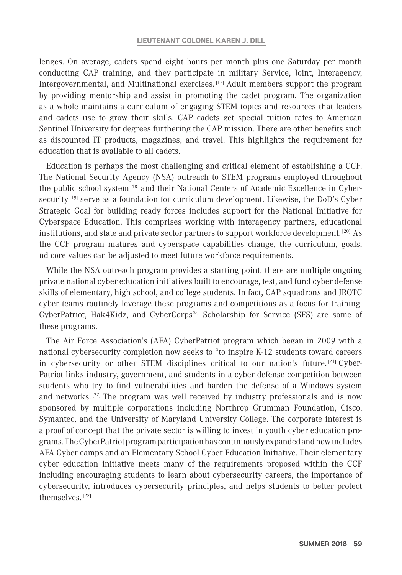#### **LIEUTENANT COLONEL KAREN J. DILL**

lenges. On average, cadets spend eight hours per month plus one Saturday per month conducting CAP training, and they participate in military Service, Joint, Interagency, Intergovernmental, and Multinational exercises. [17] Adult members support the program by providing mentorship and assist in promoting the cadet program. The organization as a whole maintains a curriculum of engaging STEM topics and resources that leaders and cadets use to grow their skills. CAP cadets get special tuition rates to American Sentinel University for degrees furthering the CAP mission. There are other benefits such as discounted IT products, magazines, and travel. This highlights the requirement for education that is available to all cadets.

Education is perhaps the most challenging and critical element of establishing a CCF. The National Security Agency (NSA) outreach to STEM programs employed throughout the public school system [18] and their National Centers of Academic Excellence in Cybersecurity<sup>[19]</sup> serve as a foundation for curriculum development. Likewise, the DoD's Cyber Strategic Goal for building ready forces includes support for the National Initiative for Cyberspace Education. This comprises working with interagency partners, educational institutions, and state and private sector partners to support workforce development. [20] As the CCF program matures and cyberspace capabilities change, the curriculum, goals, nd core values can be adjusted to meet future workforce requirements.

While the NSA outreach program provides a starting point, there are multiple ongoing private national cyber education initiatives built to encourage, test, and fund cyber defense skills of elementary, high school, and college students. In fact, CAP squadrons and JROTC cyber teams routinely leverage these programs and competitions as a focus for training. CyberPatriot, Hak4Kidz, and CyberCorps®: Scholarship for Service (SFS) are some of these programs.

The Air Force Association's (AFA) CyberPatriot program which began in 2009 with a national cybersecurity completion now seeks to "to inspire K-12 students toward careers in cybersecurity or other STEM disciplines critical to our nation's future. [21] Cyber-Patriot links industry, government, and students in a cyber defense competition between students who try to find vulnerabilities and harden the defense of a Windows system and networks.<sup>[22]</sup> The program was well received by industry professionals and is now sponsored by multiple corporations including Northrop Grumman Foundation, Cisco, Symantec, and the University of Maryland University College. The corporate interest is a proof of concept that the private sector is willing to invest in youth cyber education programs. The CyberPatriot program participation has continuously expanded and now includes AFA Cyber camps and an Elementary School Cyber Education Initiative. Their elementary cyber education initiative meets many of the requirements proposed within the CCF including encouraging students to learn about cybersecurity careers, the importance of cybersecurity, introduces cybersecurity principles, and helps students to better protect themselves. [22]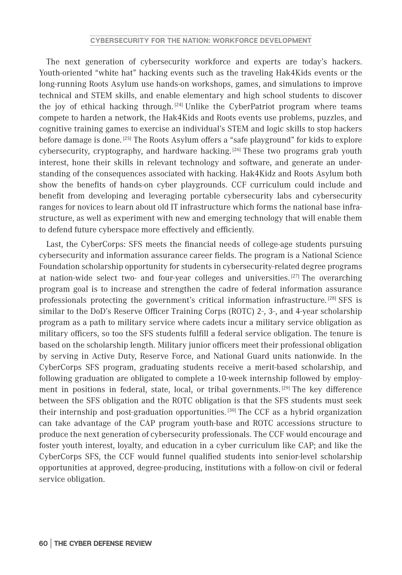The next generation of cybersecurity workforce and experts are today's hackers. Youth-oriented "white hat" hacking events such as the traveling Hak4Kids events or the long-running Roots Asylum use hands-on workshops, games, and simulations to improve technical and STEM skills, and enable elementary and high school students to discover the joy of ethical hacking through.<sup>[24]</sup> Unlike the CyberPatriot program where teams compete to harden a network, the Hak4Kids and Roots events use problems, puzzles, and cognitive training games to exercise an individual's STEM and logic skills to stop hackers before damage is done.<sup>[25]</sup> The Roots Asylum offers a "safe playground" for kids to explore cybersecurity, cryptography, and hardware hacking. [26] These two programs grab youth interest, hone their skills in relevant technology and software, and generate an understanding of the consequences associated with hacking. Hak4Kidz and Roots Asylum both show the benefits of hands-on cyber playgrounds. CCF curriculum could include and benefit from developing and leveraging portable cybersecurity labs and cybersecurity ranges for novices to learn about old IT infrastructure which forms the national base infrastructure, as well as experiment with new and emerging technology that will enable them to defend future cyberspace more effectively and efficiently.

Last, the CyberCorps: SFS meets the financial needs of college-age students pursuing cybersecurity and information assurance career fields. The program is a National Science Foundation scholarship opportunity for students in cybersecurity-related degree programs at nation-wide select two- and four-year colleges and universities. [27] The overarching program goal is to increase and strengthen the cadre of federal information assurance professionals protecting the government's critical information infrastructure.<sup>[28]</sup> SFS is similar to the DoD's Reserve Officer Training Corps (ROTC) 2-, 3-, and 4-year scholarship program as a path to military service where cadets incur a military service obligation as military officers, so too the SFS students fulfill a federal service obligation. The tenure is based on the scholarship length. Military junior officers meet their professional obligation by serving in Active Duty, Reserve Force, and National Guard units nationwide. In the CyberCorps SFS program, graduating students receive a merit-based scholarship, and following graduation are obligated to complete a 10-week internship followed by employment in positions in federal, state, local, or tribal governments. [29] The key difference between the SFS obligation and the ROTC obligation is that the SFS students must seek their internship and post-graduation opportunities. [30] The CCF as a hybrid organization can take advantage of the CAP program youth-base and ROTC accessions structure to produce the next generation of cybersecurity professionals. The CCF would encourage and foster youth interest, loyalty, and education in a cyber curriculum like CAP; and like the CyberCorps SFS, the CCF would funnel qualified students into senior-level scholarship opportunities at approved, degree-producing, institutions with a follow-on civil or federal service obligation.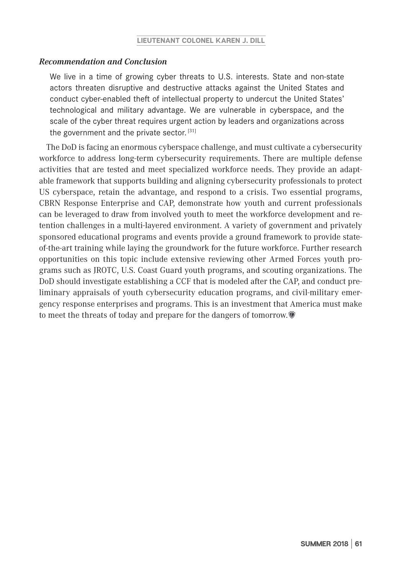### *Recommendation and Conclusion*

We live in a time of growing cyber threats to U.S. interests. State and non-state actors threaten disruptive and destructive attacks against the United States and conduct cyber-enabled theft of intellectual property to undercut the United States' technological and military advantage. We are vulnerable in cyberspace, and the scale of the cyber threat requires urgent action by leaders and organizations across the government and the private sector.  $[31]$ 

The DoD is facing an enormous cyberspace challenge, and must cultivate a cybersecurity workforce to address long-term cybersecurity requirements. There are multiple defense activities that are tested and meet specialized workforce needs. They provide an adaptable framework that supports building and aligning cybersecurity professionals to protect US cyberspace, retain the advantage, and respond to a crisis. Two essential programs, CBRN Response Enterprise and CAP, demonstrate how youth and current professionals can be leveraged to draw from involved youth to meet the workforce development and retention challenges in a multi-layered environment. A variety of government and privately sponsored educational programs and events provide a ground framework to provide stateof-the-art training while laying the groundwork for the future workforce. Further research opportunities on this topic include extensive reviewing other Armed Forces youth programs such as JROTC, U.S. Coast Guard youth programs, and scouting organizations. The DoD should investigate establishing a CCF that is modeled after the CAP, and conduct preliminary appraisals of youth cybersecurity education programs, and civil-military emergency response enterprises and programs. This is an investment that America must make to meet the threats of today and prepare for the dangers of tomorrow.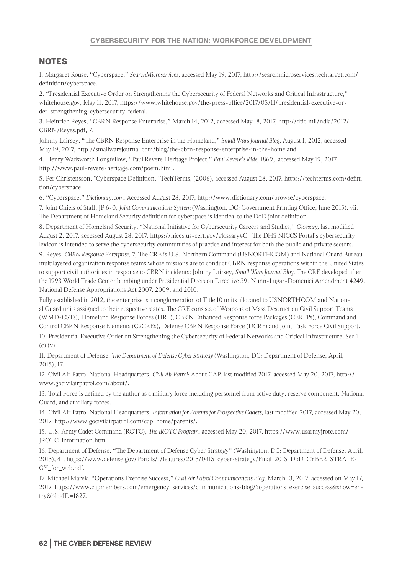#### **CYBERSECURITY FOR THE NATION: WORKFORCE DEVELOPMENT**

## NOTES

1. Margaret Rouse, "Cyberspace," *SearchMicroservices,* accessed May 19, 2017, http://searchmicroservices.techtarget.com/ definition/cyberspace.

2. "Presidential Executive Order on Strengthening the Cybersecurity of Federal Networks and Critical Infrastructure," whitehouse.gov, May 11, 2017, https://www.whitehouse.gov/the-press-office/2017/05/11/presidential-executive-order-strengthening-cybersecurity-federal.

3. Heinrich Reyes, "CBRN Response Enterprise," March 14, 2012, accessed May 18, 2017, http://dtic.mil/ndia/2012/ CBRN/Reyes.pdf, 7.

Johnny Lairsey, "The CBRN Response Enterprise in the Homeland," *Small Wars Journal Blog,* August 1, 2012, accessed May 19, 2017, http://smallwarsjournal.com/blog/the-cbrn-response-enterprise-in-the-homeland.

4. Henry Wadsworth Longfellow, "Paul Revere Heritage Project," *Paul Revere's Ride,* 1869, accessed May 19, 2017. http://www.paul-revere-heritage.com/poem.html.

5. Per Christensson, "Cyberspace Definition," TechTerms, (2006), accessed August 28, 2017. https://techterms.com/definition/cyberspace.

6. "Cyberspace," *Dictionary.com.* Accessed August 28, 2017, http://www.dictionary.com/browse/cyberspace.

7. Joint Chiefs of Staff, JP 6-0, *Joint Communications System* (Washington, DC: Government Printing Office, June 2015), vii. The Department of Homeland Security definition for cyberspace is identical to the DoD joint definition.

8. Department of Homeland Security, "National Initiative for Cybersecurity Careers and Studies," *Glossary,* last modified August 2, 2017, accessed August 28, 2017, https://niccs.us-cert.gov/glossary#C. The DHS NICCS Portal's cybersecurity lexicon is intended to serve the cybersecurity communities of practice and interest for both the public and private sectors.

9. Reyes, *CBRN Response Enterprise,* 7, The CRE is U.S. Northern Command (USNORTHCOM) and National Guard Bureau multilayered organization response teams whose missions are to conduct CBRN response operations within the United States to support civil authorities in response to CBRN incidents; Johnny Lairsey, *Small Wars Journal Blog.* The CRE developed after the 1993 World Trade Center bombing under Presidential Decision Directive 39, Nunn-Lugar-Domenici Amendment 4249, National Defense Appropriations Act 2007, 2009, and 2010.

Fully established in 2012, the enterprise is a conglomeration of Title 10 units allocated to USNORTHCOM and National Guard units assigned to their respective states. The CRE consists of Weapons of Mass Destruction Civil Support Teams (WMD-CSTs), Homeland Response Forces (HRF), CBRN Enhanced Response force Packages (CERFPs), Command and Control CBRN Response Elements (C2CREs), Defense CBRN Response Force (DCRF) and Joint Task Force Civil Support.

10. Presidential Executive Order on Strengthening the Cybersecurity of Federal Networks and Critical Infrastructure, Sec 1 (c) (v).

11. Department of Defense, *The Department of Defense Cyber Strategy* (Washington, DC: Department of Defense, April, 2015), 17.

12. Civil Air Patrol National Headquarters, *Civil Air Patrol:* About CAP, last modified 2017, accessed May 20, 2017, http:// www.gocivilairpatrol.com/about/.

13. Total Force is defined by the author as a military force including personnel from active duty, reserve component, National Guard, and auxiliary forces.

14. Civil Air Patrol National Headquarters, *Information for Parents for Prospective Cadets,* last modified 2017, accessed May 20, 2017, http://www.gocivilairpatrol.com/cap\_home/parents/.

15. U.S. Army Cadet Command (ROTC), *The JROTC Program,* accessed May 20, 2017, https://www.usarmyjrotc.com/ JROTC\_information.html.

16. Department of Defense, "The Department of Defense Cyber Strategy" (Washington, DC: Department of Defense, April, 2015), 41, https://www.defense.gov/Portals/1/features/2015/0415\_cyber-strategy/Final\_2015\_DoD\_CYBER\_STRATE-GY\_for\_web.pdf.

17. Michael Marek, "Operations Exercise Success," *Civil Air Patrol Communications Blog,* March 13, 2017, accessed on May 17, 2017, https://www.capmembers.com/emergency\_services/communications-blog/?operations\_exercise\_success&show=entry&blogID=1827.